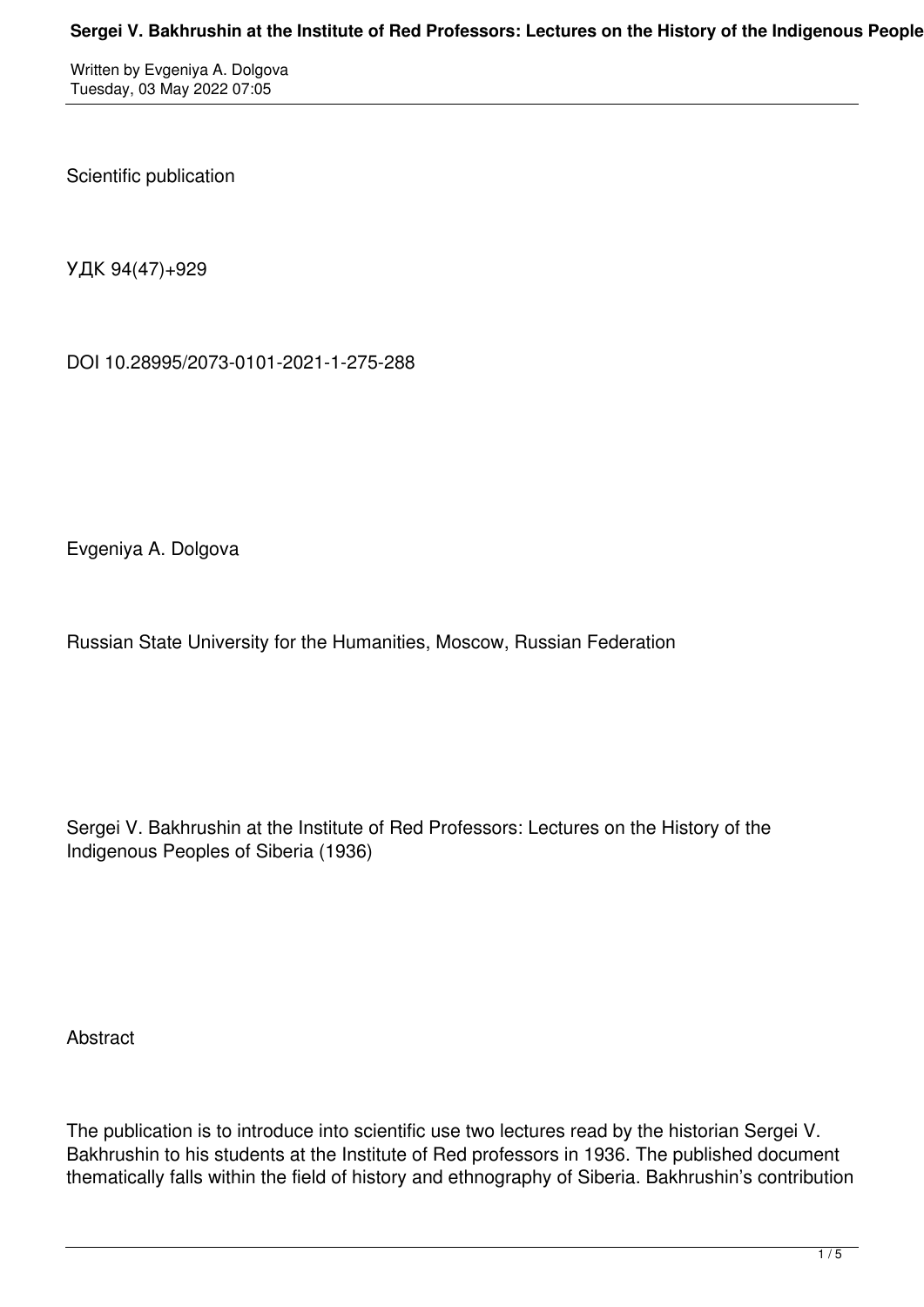## Sergei V. Bakhrushin at the Institute of Red Professors: Lectures on the History of the Indigenous People

Written by Evgeniya A. Dolgova Tuesday, 03 May 2022 07:05

Scientific publication

УДК 94(47)+929

DOI 10.28995/2073-0101-2021-1-275-288

Evgeniya A. Dolgova

Russian State University for the Humanities, Moscow, Russian Federation

Sergei V. Bakhrushin at the Institute of Red Professors: Lectures on the History of the Indigenous Peoples of Siberia (1936)

Abstract

The publication is to introduce into scientific use two lectures read by the historian Sergei V. Bakhrushin to his students at the Institute of Red professors in 1936. The published document thematically falls within the field of history and ethnography of Siberia. Bakhrushin's contribution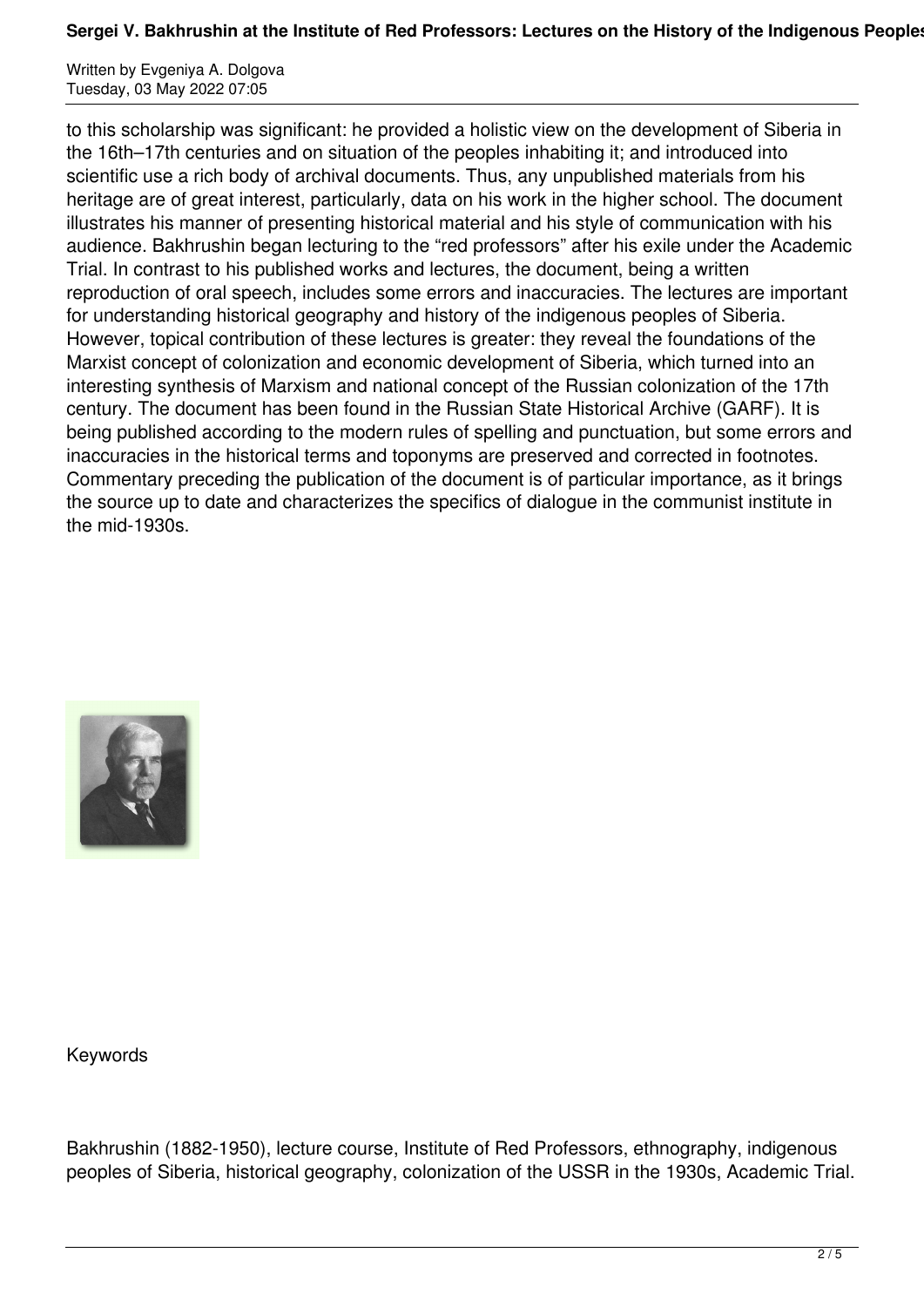## Sergei V. Bakhrushin at the Institute of Red Professors: Lectures on the History of the Indigenous Peoples

Written by Evgeniya A. Dolgova Tuesday, 03 May 2022 07:05

to this scholarship was significant: he provided a holistic view on the development of Siberia in the 16th–17th centuries and on situation of the peoples inhabiting it; and introduced into scientific use a rich body of archival documents. Thus, any unpublished materials from his heritage are of great interest, particularly, data on his work in the higher school. The document illustrates his manner of presenting historical material and his style of communication with his audience. Bakhrushin began lecturing to the "red professors" after his exile under the Academic Trial. In contrast to his published works and lectures, the document, being a written reproduction of oral speech, includes some errors and inaccuracies. The lectures are important for understanding historical geography and history of the indigenous peoples of Siberia. However, topical contribution of these lectures is greater: they reveal the foundations of the Marxist concept of colonization and economic development of Siberia, which turned into an interesting synthesis of Marxism and national concept of the Russian colonization of the 17th century. The document has been found in the Russian State Historical Archive (GARF). It is being published according to the modern rules of spelling and punctuation, but some errors and inaccuracies in the historical terms and toponyms are preserved and corrected in footnotes. Сommentary preceding the publication of the document is of particular importance, as it brings the source up to date and characterizes the specifics of dialogue in the communist institute in the mid-1930s.



Keywords

Bakhrushin (1882-1950), lecture course, Institute of Red Professors, ethnography, indigenous peoples of Siberia, historical geography, colonization of the USSR in the 1930s, Academic Trial.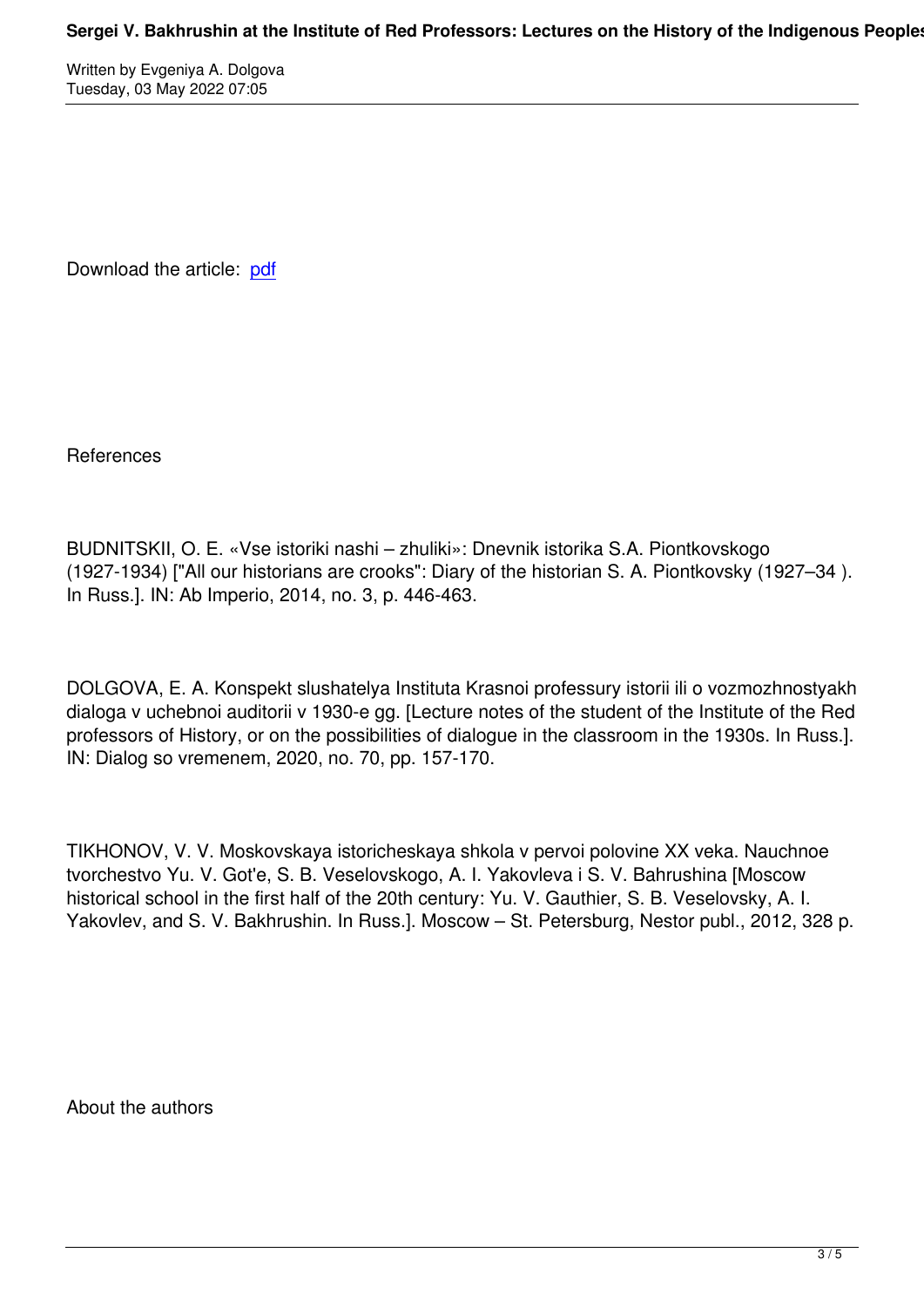Download the article: pdf

References

BUDNITSKII, O. E. «Vse istoriki nashi – zhuliki»: Dnevnik istorika S.A. Piontkovskogo (1927-1934) ["All our historians are crooks": Diary of the historian S. A. Piontkovsky (1927–34 ). In Russ.]. IN: Ab Imperio, 2014, no. 3, p. 446-463.

DOLGOVA, E. A. Konspekt slushatelya Instituta Krasnoi professury istorii ili o vozmozhnostyakh dialoga v uchebnoi auditorii v 1930-e gg. [Lecture notes of the student of the Institute of the Red professors of History, or on the possibilities of dialogue in the classroom in the 1930s. In Russ.]. IN: Dialog so vremenem, 2020, no. 70, pp. 157-170.

TIKHONOV, V. V. Moskovskaya istoricheskaya shkola v pervoi polovine XX veka. Nauchnoe tvorchestvo Yu. V. Got'e, S. B. Veselovskogo, A. I. Yakovleva i S. V. Bahrushina [Moscow historical school in the first half of the 20th century: Yu. V. Gauthier, S. B. Veselovsky, A. I. Yakovlev, and S. V. Bakhrushin. In Russ.]. Moscow – St. Petersburg, Nestor publ., 2012, 328 p.

About the authors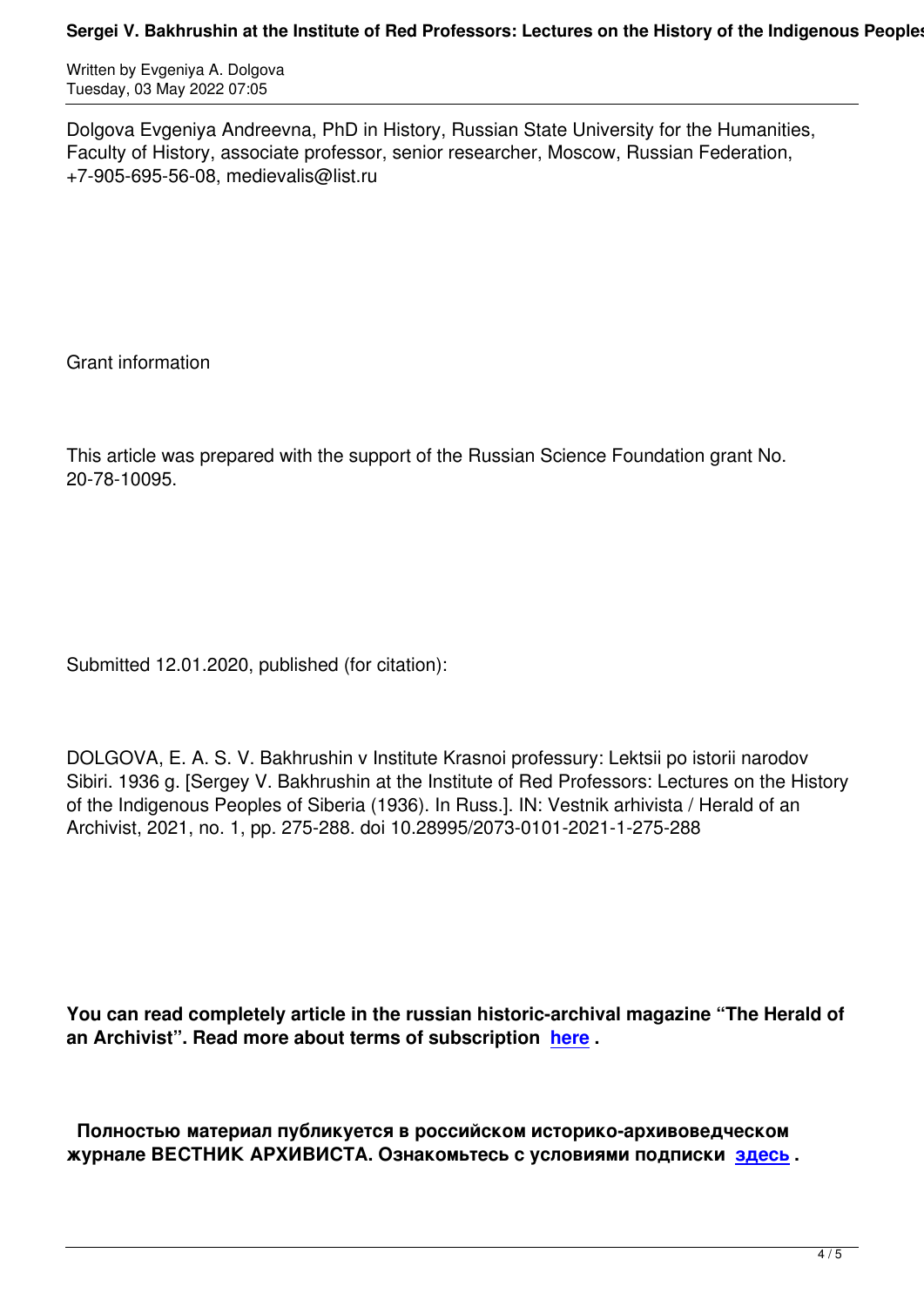Dolgova Evgeniya Andreevna, PhD in History, Russian State University for the Humanities, Faculty of History, associate professor, senior researcher, Moscow, Russian Federation, +7-905-695-56-08, medievalis@list.ru

Grant information

This article was prepared with the support of the Russian Science Foundation grant No. 20-78-10095.

Submitted 12.01.2020, published (for citation):

DOLGOVA, E. A. S. V. Bakhrushin v Institute Krasnoi professury: Lektsii po istorii narodov Sibiri. 1936 g. [Sergey V. Bakhrushin at the Institute of Red Professors: Lectures on the History of the Indigenous Peoples of Siberia (1936). In Russ.]. IN: Vestnik arhivista / Herald of an Archivist, 2021, no. 1, pp. 275-288. doi 10.28995/2073-0101-2021-1-275-288

**You can read completely article in the russian historic-archival magazine "The Herald of an Archivist". Read more about terms of subscription here .** 

 **Полностью материал публикуется в российском и[стори](http://www.arhivemagazine.com/subscribe.html)ко-архивоведческом журнале ВЕСТНИК АРХИВИСТА. Ознакомьтесь с условиями подписки здесь .**